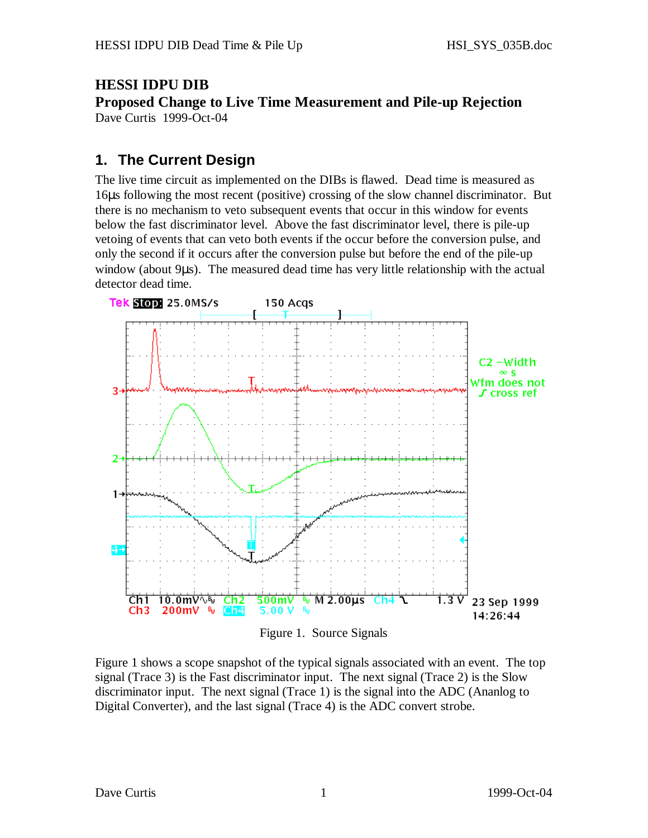## **HESSI IDPU DIB**

**Proposed Change to Live Time Measurement and Pile-up Rejection** Dave Curtis 1999-Oct-04

## **1. The Current Design**

The live time circuit as implemented on the DIBs is flawed. Dead time is measured as 16μs following the most recent (positive) crossing of the slow channel discriminator. But there is no mechanism to veto subsequent events that occur in this window for events below the fast discriminator level. Above the fast discriminator level, there is pile-up vetoing of events that can veto both events if the occur before the conversion pulse, and only the second if it occurs after the conversion pulse but before the end of the pile-up window (about 9μs). The measured dead time has very little relationship with the actual detector dead time.



Figure 1. Source Signals

Figure 1 shows a scope snapshot of the typical signals associated with an event. The top signal (Trace 3) is the Fast discriminator input. The next signal (Trace 2) is the Slow discriminator input. The next signal (Trace 1) is the signal into the ADC (Ananlog to Digital Converter), and the last signal (Trace 4) is the ADC convert strobe.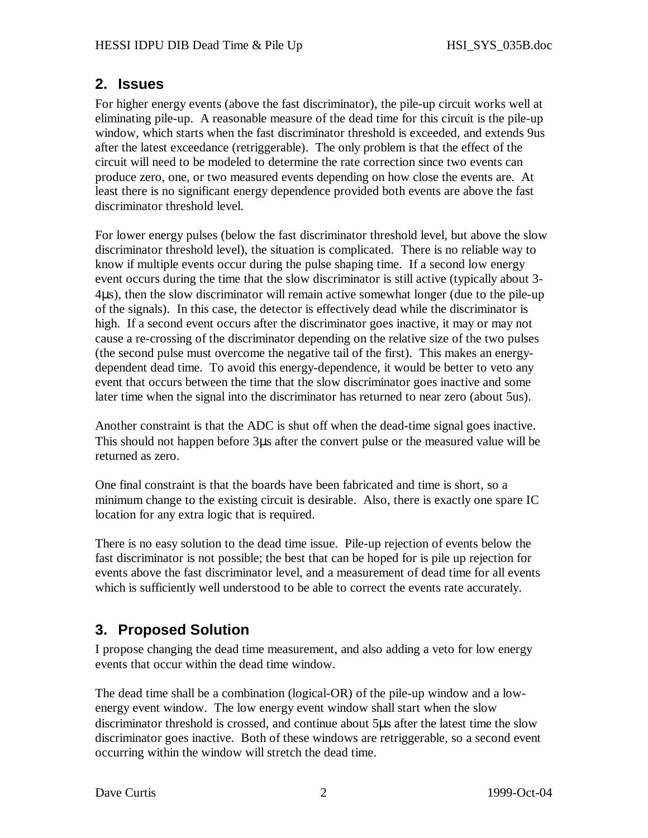## **2. Issues**

For higher energy events (above the fast discriminator), the pile-up circuit works well at eliminating pile-up. A reasonable measure of the dead time for this circuit is the pile-up window, which starts when the fast discriminator threshold is exceeded, and extends 9us after the latest exceedance (retriggerable). The only problem is that the effect of the circuit will need to be modeled to determine the rate correction since two events can produce zero, one, or two measured events depending on how close the events are. At least there is no significant energy dependence provided both events are above the fast discriminator threshold level.

For lower energy pulses (below the fast discriminator threshold level, but above the slow discriminator threshold level), the situation is complicated. There is no reliable way to know if multiple events occur during the pulse shaping time. If a second low energy event occurs during the time that the slow discriminator is still active (typically about 3- 4μs), then the slow discriminator will remain active somewhat longer (due to the pile-up of the signals). In this case, the detector is effectively dead while the discriminator is high. If a second event occurs after the discriminator goes inactive, it may or may not cause a re-crossing of the discriminator depending on the relative size of the two pulses (the second pulse must overcome the negative tail of the first). This makes an energydependent dead time. To avoid this energy-dependence, it would be better to veto any event that occurs between the time that the slow discriminator goes inactive and some later time when the signal into the discriminator has returned to near zero (about 5us).

Another constraint is that the ADC is shut off when the dead-time signal goes inactive. This should not happen before 3μs after the convert pulse or the measured value will be returned as zero.

One final constraint is that the boards have been fabricated and time is short, so a minimum change to the existing circuit is desirable. Also, there is exactly one spare IC location for any extra logic that is required.

There is no easy solution to the dead time issue. Pile-up rejection of events below the fast discriminator is not possible; the best that can be hoped for is pile up rejection for events above the fast discriminator level, and a measurement of dead time for all events which is sufficiently well understood to be able to correct the events rate accurately.

## **3. Proposed Solution**

I propose changing the dead time measurement, and also adding a veto for low energy events that occur within the dead time window.

The dead time shall be a combination (logical-OR) of the pile-up window and a lowenergy event window. The low energy event window shall start when the slow discriminator threshold is crossed, and continue about 5μs after the latest time the slow discriminator goes inactive. Both of these windows are retriggerable, so a second event occurring within the window will stretch the dead time.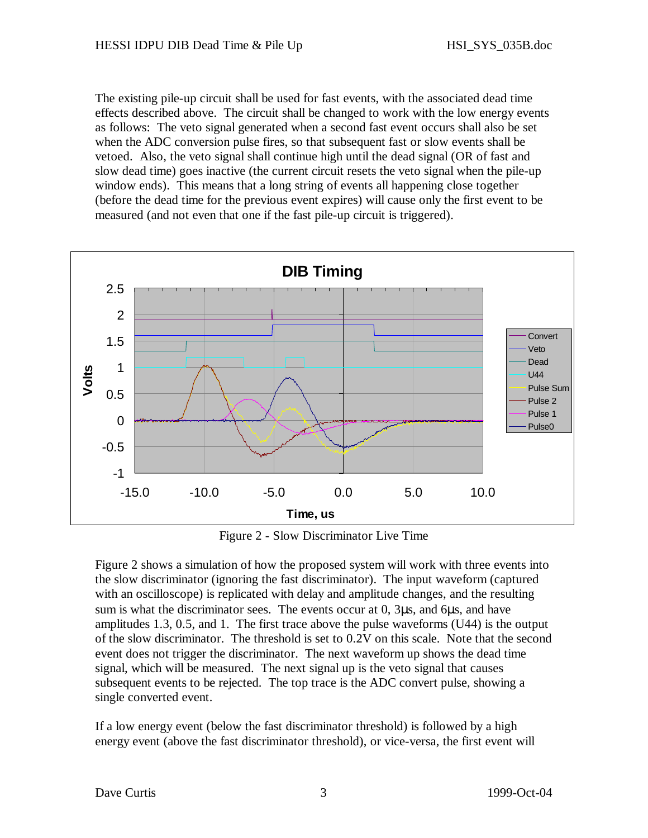The existing pile-up circuit shall be used for fast events, with the associated dead time effects described above. The circuit shall be changed to work with the low energy events as follows: The veto signal generated when a second fast event occurs shall also be set when the ADC conversion pulse fires, so that subsequent fast or slow events shall be vetoed. Also, the veto signal shall continue high until the dead signal (OR of fast and slow dead time) goes inactive (the current circuit resets the veto signal when the pile-up window ends). This means that a long string of events all happening close together (before the dead time for the previous event expires) will cause only the first event to be measured (and not even that one if the fast pile-up circuit is triggered).



Figure 2 - Slow Discriminator Live Time

Figure 2 shows a simulation of how the proposed system will work with three events into the slow discriminator (ignoring the fast discriminator). The input waveform (captured with an oscilloscope) is replicated with delay and amplitude changes, and the resulting sum is what the discriminator sees. The events occur at 0, 3μs, and 6μs, and have amplitudes 1.3, 0.5, and 1. The first trace above the pulse waveforms (U44) is the output of the slow discriminator. The threshold is set to 0.2V on this scale. Note that the second event does not trigger the discriminator. The next waveform up shows the dead time signal, which will be measured. The next signal up is the veto signal that causes subsequent events to be rejected. The top trace is the ADC convert pulse, showing a single converted event.

If a low energy event (below the fast discriminator threshold) is followed by a high energy event (above the fast discriminator threshold), or vice-versa, the first event will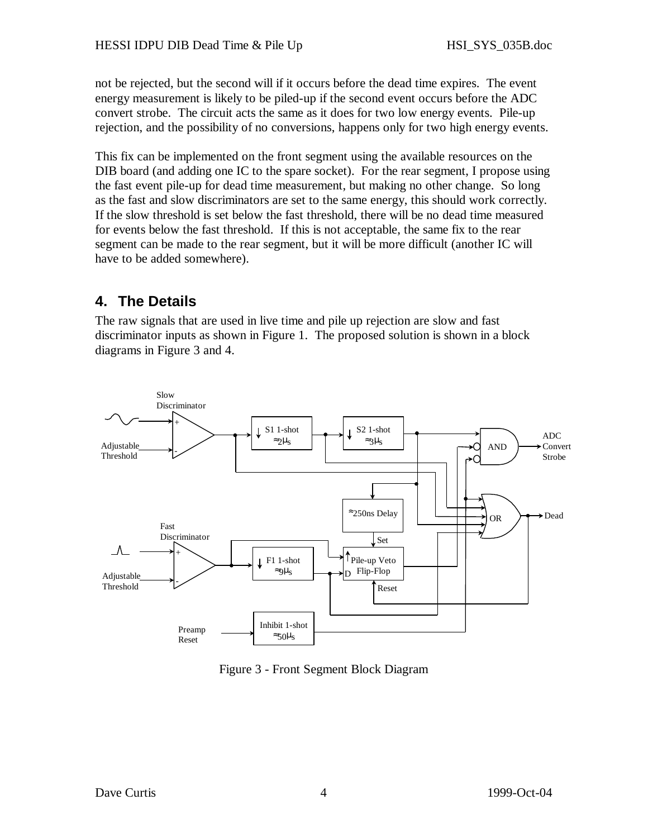not be rejected, but the second will if it occurs before the dead time expires. The event energy measurement is likely to be piled-up if the second event occurs before the ADC convert strobe. The circuit acts the same as it does for two low energy events. Pile-up rejection, and the possibility of no conversions, happens only for two high energy events.

This fix can be implemented on the front segment using the available resources on the DIB board (and adding one IC to the spare socket). For the rear segment, I propose using the fast event pile-up for dead time measurement, but making no other change. So long as the fast and slow discriminators are set to the same energy, this should work correctly. If the slow threshold is set below the fast threshold, there will be no dead time measured for events below the fast threshold. If this is not acceptable, the same fix to the rear segment can be made to the rear segment, but it will be more difficult (another IC will have to be added somewhere).

# **4. The Details**

The raw signals that are used in live time and pile up rejection are slow and fast discriminator inputs as shown in Figure 1. The proposed solution is shown in a block diagrams in Figure 3 and 4.



Figure 3 - Front Segment Block Diagram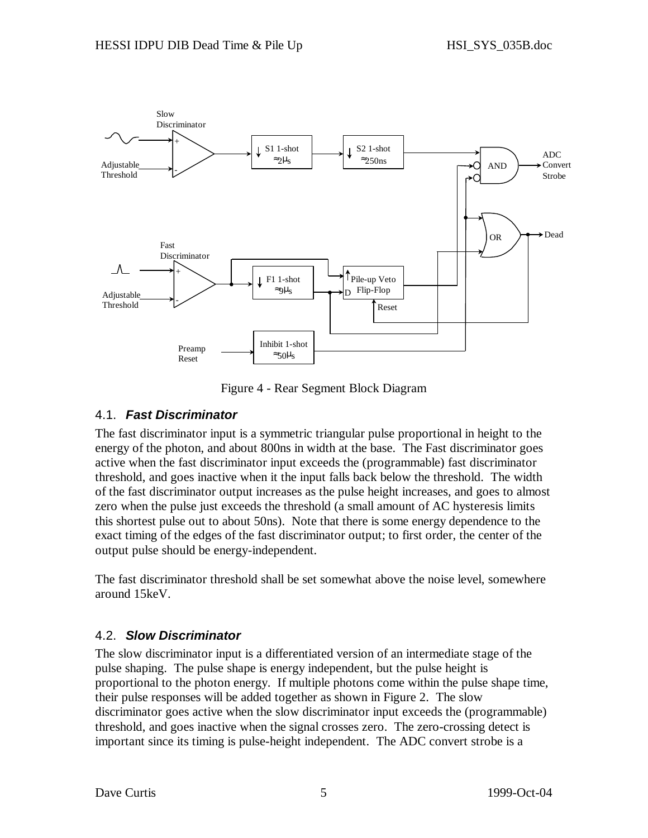

Figure 4 - Rear Segment Block Diagram

## 4.1. *Fast Discriminator*

The fast discriminator input is a symmetric triangular pulse proportional in height to the energy of the photon, and about 800ns in width at the base. The Fast discriminator goes active when the fast discriminator input exceeds the (programmable) fast discriminator threshold, and goes inactive when it the input falls back below the threshold. The width of the fast discriminator output increases as the pulse height increases, and goes to almost zero when the pulse just exceeds the threshold (a small amount of AC hysteresis limits this shortest pulse out to about 50ns). Note that there is some energy dependence to the exact timing of the edges of the fast discriminator output; to first order, the center of the output pulse should be energy-independent.

The fast discriminator threshold shall be set somewhat above the noise level, somewhere around 15keV.

### 4.2. *Slow Discriminator*

The slow discriminator input is a differentiated version of an intermediate stage of the pulse shaping. The pulse shape is energy independent, but the pulse height is proportional to the photon energy. If multiple photons come within the pulse shape time, their pulse responses will be added together as shown in Figure 2. The slow discriminator goes active when the slow discriminator input exceeds the (programmable) threshold, and goes inactive when the signal crosses zero. The zero-crossing detect is important since its timing is pulse-height independent. The ADC convert strobe is a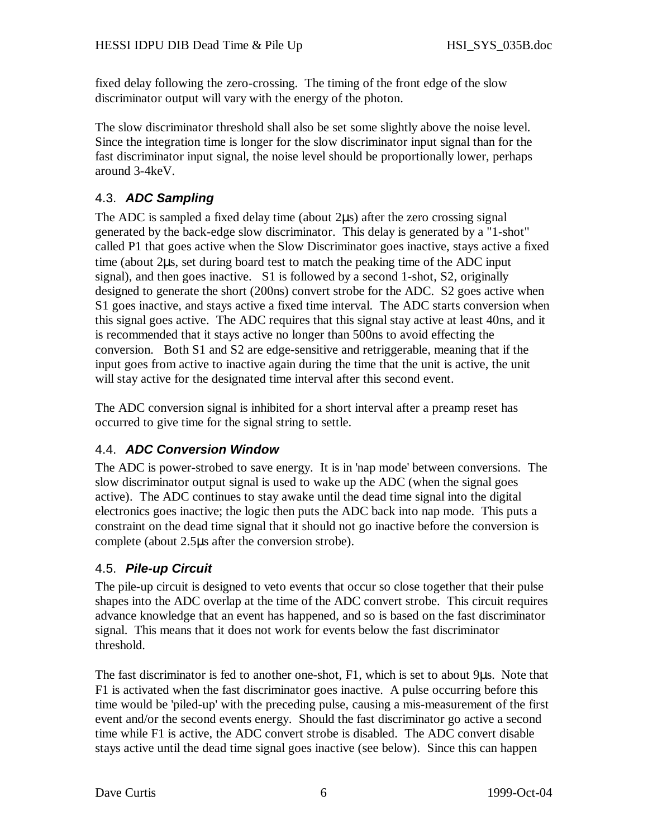fixed delay following the zero-crossing. The timing of the front edge of the slow discriminator output will vary with the energy of the photon.

The slow discriminator threshold shall also be set some slightly above the noise level. Since the integration time is longer for the slow discriminator input signal than for the fast discriminator input signal, the noise level should be proportionally lower, perhaps around 3-4keV.

## 4.3. *ADC Sampling*

The ADC is sampled a fixed delay time (about 2us) after the zero crossing signal generated by the back-edge slow discriminator. This delay is generated by a "1-shot" called P1 that goes active when the Slow Discriminator goes inactive, stays active a fixed time (about 2μs, set during board test to match the peaking time of the ADC input signal), and then goes inactive. S1 is followed by a second 1-shot, S2, originally designed to generate the short (200ns) convert strobe for the ADC. S2 goes active when S1 goes inactive, and stays active a fixed time interval. The ADC starts conversion when this signal goes active. The ADC requires that this signal stay active at least 40ns, and it is recommended that it stays active no longer than 500ns to avoid effecting the conversion. Both S1 and S2 are edge-sensitive and retriggerable, meaning that if the input goes from active to inactive again during the time that the unit is active, the unit will stay active for the designated time interval after this second event.

The ADC conversion signal is inhibited for a short interval after a preamp reset has occurred to give time for the signal string to settle.

## 4.4. *ADC Conversion Window*

The ADC is power-strobed to save energy. It is in 'nap mode' between conversions. The slow discriminator output signal is used to wake up the ADC (when the signal goes active). The ADC continues to stay awake until the dead time signal into the digital electronics goes inactive; the logic then puts the ADC back into nap mode. This puts a constraint on the dead time signal that it should not go inactive before the conversion is complete (about 2.5μs after the conversion strobe).

## 4.5. *Pile-up Circuit*

The pile-up circuit is designed to veto events that occur so close together that their pulse shapes into the ADC overlap at the time of the ADC convert strobe. This circuit requires advance knowledge that an event has happened, and so is based on the fast discriminator signal. This means that it does not work for events below the fast discriminator threshold.

The fast discriminator is fed to another one-shot, F1, which is set to about 9μs. Note that F1 is activated when the fast discriminator goes inactive. A pulse occurring before this time would be 'piled-up' with the preceding pulse, causing a mis-measurement of the first event and/or the second events energy. Should the fast discriminator go active a second time while F1 is active, the ADC convert strobe is disabled. The ADC convert disable stays active until the dead time signal goes inactive (see below). Since this can happen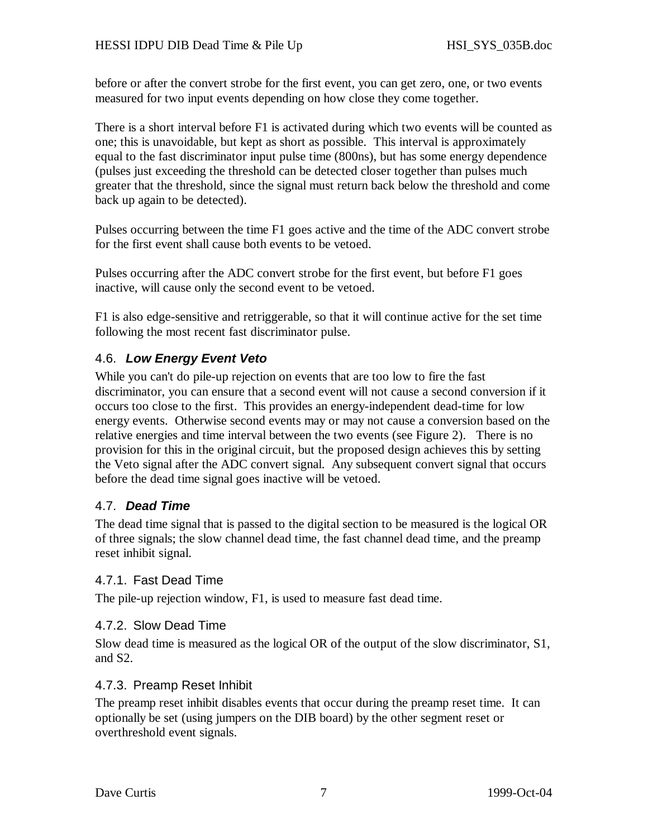before or after the convert strobe for the first event, you can get zero, one, or two events measured for two input events depending on how close they come together.

There is a short interval before F1 is activated during which two events will be counted as one; this is unavoidable, but kept as short as possible. This interval is approximately equal to the fast discriminator input pulse time (800ns), but has some energy dependence (pulses just exceeding the threshold can be detected closer together than pulses much greater that the threshold, since the signal must return back below the threshold and come back up again to be detected).

Pulses occurring between the time F1 goes active and the time of the ADC convert strobe for the first event shall cause both events to be vetoed.

Pulses occurring after the ADC convert strobe for the first event, but before F1 goes inactive, will cause only the second event to be vetoed.

F1 is also edge-sensitive and retriggerable, so that it will continue active for the set time following the most recent fast discriminator pulse.

## 4.6. *Low Energy Event Veto*

While you can't do pile-up rejection on events that are too low to fire the fast discriminator, you can ensure that a second event will not cause a second conversion if it occurs too close to the first. This provides an energy-independent dead-time for low energy events. Otherwise second events may or may not cause a conversion based on the relative energies and time interval between the two events (see Figure 2). There is no provision for this in the original circuit, but the proposed design achieves this by setting the Veto signal after the ADC convert signal. Any subsequent convert signal that occurs before the dead time signal goes inactive will be vetoed.

### 4.7. *Dead Time*

The dead time signal that is passed to the digital section to be measured is the logical OR of three signals; the slow channel dead time, the fast channel dead time, and the preamp reset inhibit signal.

### 4.7.1. Fast Dead Time

The pile-up rejection window, F1, is used to measure fast dead time.

### 4.7.2. Slow Dead Time

Slow dead time is measured as the logical OR of the output of the slow discriminator, S1, and S2.

### 4.7.3. Preamp Reset Inhibit

The preamp reset inhibit disables events that occur during the preamp reset time. It can optionally be set (using jumpers on the DIB board) by the other segment reset or overthreshold event signals.